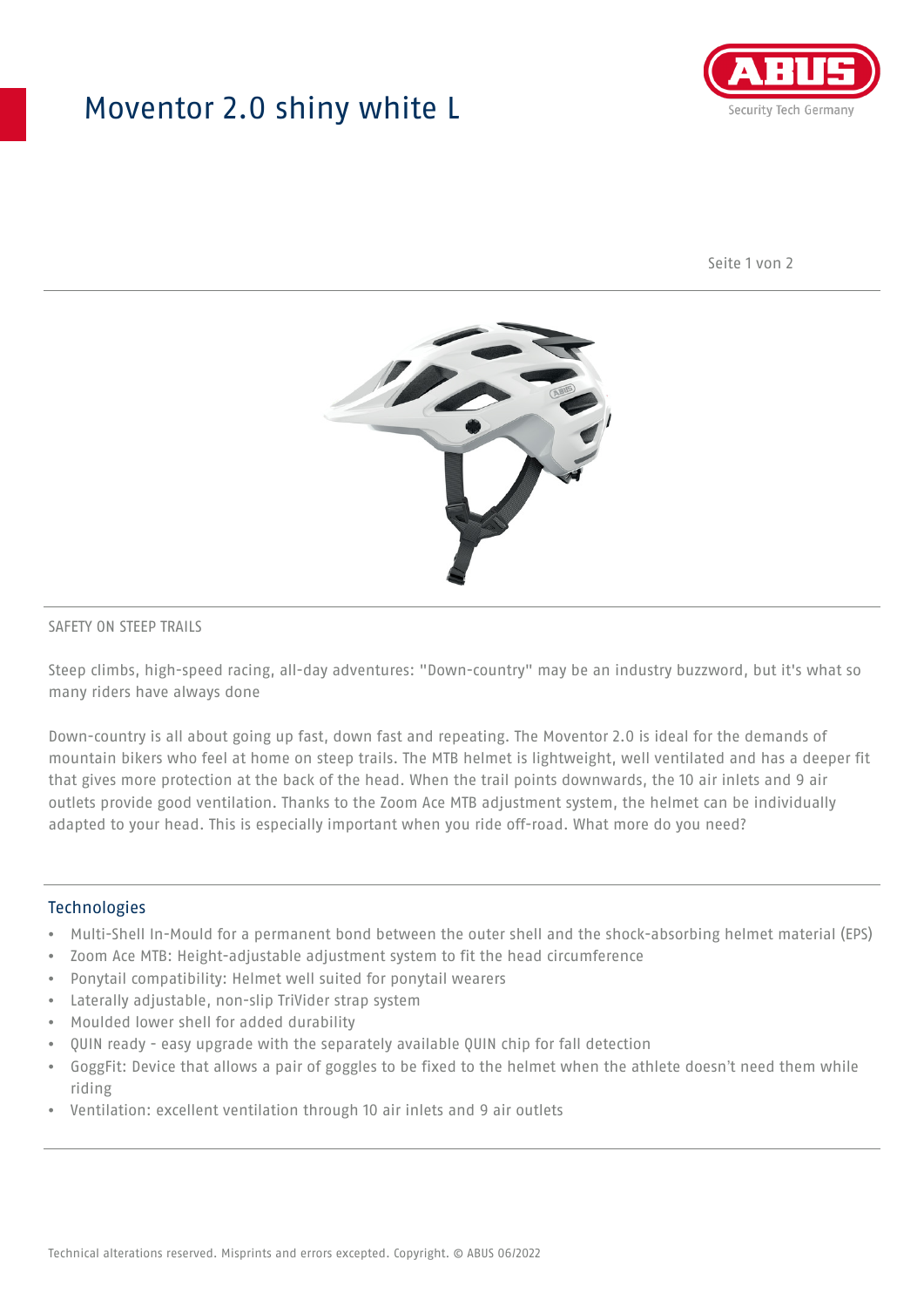## Moventor 2.0 shiny white L



Seite 1 von 2



#### SAFETY ON STEEP TRAILS

Steep climbs, high-speed racing, all-day adventures: "Down-country" may be an industry buzzword, but it's what so many riders have always done

Down-country is all about going up fast, down fast and repeating. The Moventor 2.0 is ideal for the demands of mountain bikers who feel at home on steep trails. The MTB helmet is lightweight, well ventilated and has a deeper fit that gives more protection at the back of the head. When the trail points downwards, the 10 air inlets and 9 air outlets provide good ventilation. Thanks to the Zoom Ace MTB adjustment system, the helmet can be individually adapted to your head. This is especially important when you ride off-road. What more do you need?

#### **Technologies**

- Multi-Shell In-Mould for a permanent bond between the outer shell and the shock-absorbing helmet material (EPS)
- Zoom Ace MTB: Height-adjustable adjustment system to fit the head circumference
- Ponytail compatibility: Helmet well suited for ponytail wearers
- Laterally adjustable, non-slip TriVider strap system
- Moulded lower shell for added durability
- QUIN ready easy upgrade with the separately available QUIN chip for fall detection
- GoggFit: Device that allows a pair of goggles to be fixed to the helmet when the athlete doesn't need them while riding
- Ventilation: excellent ventilation through 10 air inlets and 9 air outlets